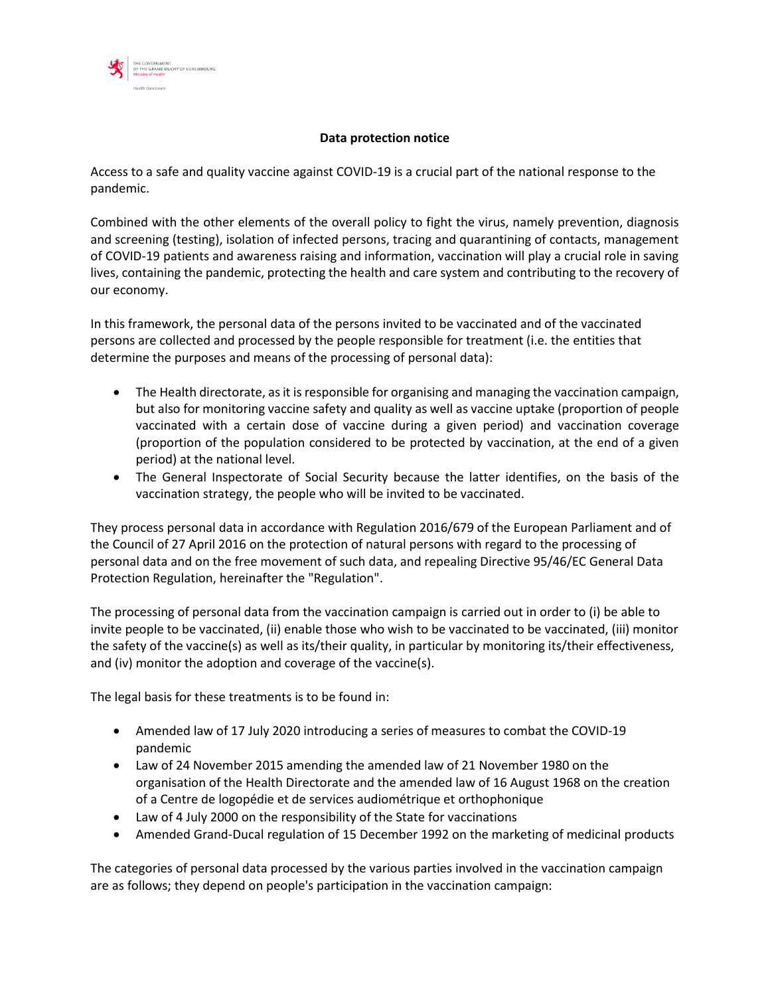

## **Data protection notice**

Access to a safe and quality vaccine against COVID-19 is a crucial part of the national response to the pandemic.

Combined with the other elements of the overall policy to fight the virus, namely prevention, diagnosis and screening (testing), isolation of infected persons, tracing and quarantining of contacts, management of COVID-19 patients and awareness raising and information, vaccination will play a crucial role in saving lives, containing the pandemic, protecting the health and care system and contributing to the recovery of our economy.

In this framework, the personal data of the persons invited to be vaccinated and of the vaccinated persons are collected and processed by the people responsible for treatment (i.e. the entities that determine the purposes and means of the processing of personal data):

- The Health directorate, as it is responsible for organising and managing the vaccination campaign, but also for monitoring vaccine safety and quality as well as vaccine uptake (proportion of people vaccinated with a certain dose of vaccine during a given period) and vaccination coverage (proportion of the population considered to be protected by vaccination, at the end of a given period) at the national level.
- The General Inspectorate of Social Security because the latter identifies, on the basis of the vaccination strategy, the people who will be invited to be vaccinated.

They process personal data in accordance with Regulation 2016/679 of the European Parliament and of the Council of 27 April 2016 on the protection of natural persons with regard to the processing of personal data and on the free movement of such data, and repealing Directive 95/46/EC General Data Protection Regulation, hereinafter the "Regulation".

The processing of personal data from the vaccination campaign is carried out in order to (i) be able to invite people to be vaccinated, (ii) enable those who wish to be vaccinated to be vaccinated, (iii) monitor the safety of the vaccine(s) as well as its/their quality, in particular by monitoring its/their effectiveness, and (iv) monitor the adoption and coverage of the vaccine(s).

The legal basis for these treatments is to be found in:

- Amended law of 17 July 2020 introducing a series of measures to combat the COVID-19 pandemic
- Law of 24 November 2015 amending the amended law of 21 November 1980 on the organisation of the Health Directorate and the amended law of 16 August 1968 on the creation of a Centre de logopédie et de services audiométrique et orthophonique
- Law of 4 July 2000 on the responsibility of the State for vaccinations
- Amended Grand-Ducal regulation of 15 December 1992 on the marketing of medicinal products

The categories of personal data processed by the various parties involved in the vaccination campaign are as follows; they depend on people's participation in the vaccination campaign: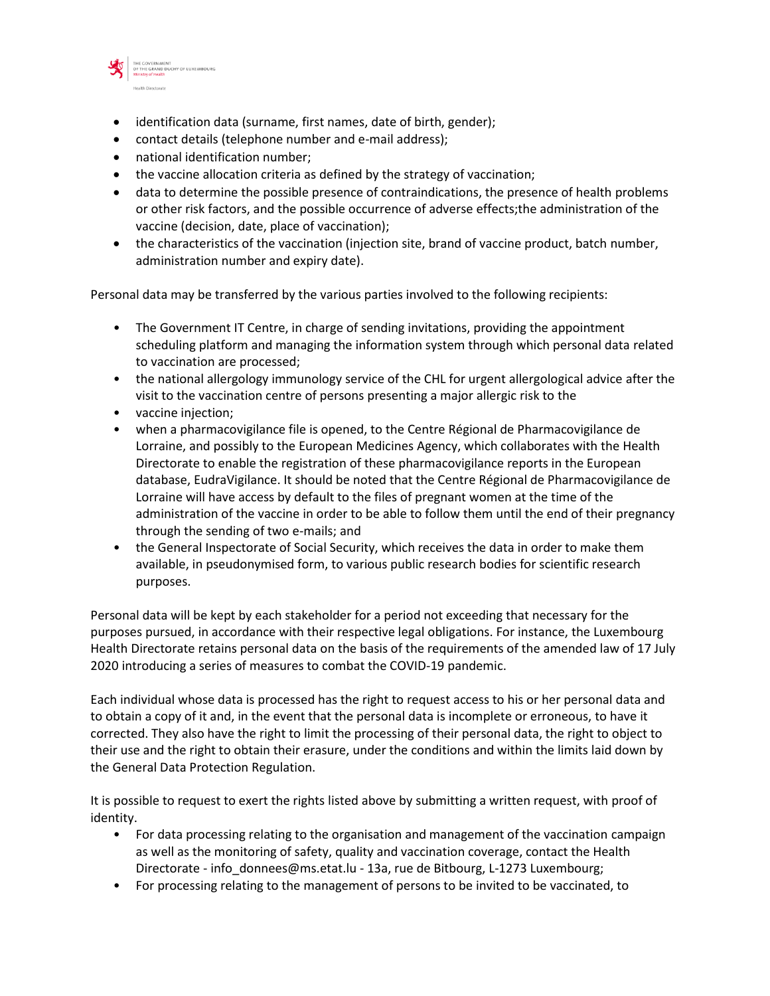

- identification data (surname, first names, date of birth, gender);
- contact details (telephone number and e-mail address);
- national identification number;
- the vaccine allocation criteria as defined by the strategy of vaccination;
- data to determine the possible presence of contraindications, the presence of health problems or other risk factors, and the possible occurrence of adverse effects;the administration of the vaccine (decision, date, place of vaccination);
- the characteristics of the vaccination (injection site, brand of vaccine product, batch number, administration number and expiry date).

Personal data may be transferred by the various parties involved to the following recipients:

- The Government IT Centre, in charge of sending invitations, providing the appointment scheduling platform and managing the information system through which personal data related to vaccination are processed;
- the national allergology immunology service of the CHL for urgent allergological advice after the visit to the vaccination centre of persons presenting a major allergic risk to the
- vaccine injection;
- when a pharmacovigilance file is opened, to the Centre Régional de Pharmacovigilance de Lorraine, and possibly to the European Medicines Agency, which collaborates with the Health Directorate to enable the registration of these pharmacovigilance reports in the European database, EudraVigilance. It should be noted that the Centre Régional de Pharmacovigilance de Lorraine will have access by default to the files of pregnant women at the time of the administration of the vaccine in order to be able to follow them until the end of their pregnancy through the sending of two e-mails; and
- the General Inspectorate of Social Security, which receives the data in order to make them available, in pseudonymised form, to various public research bodies for scientific research purposes.

Personal data will be kept by each stakeholder for a period not exceeding that necessary for the purposes pursued, in accordance with their respective legal obligations. For instance, the Luxembourg Health Directorate retains personal data on the basis of the requirements of the amended law of 17 July 2020 introducing a series of measures to combat the COVID-19 pandemic.

Each individual whose data is processed has the right to request access to his or her personal data and to obtain a copy of it and, in the event that the personal data is incomplete or erroneous, to have it corrected. They also have the right to limit the processing of their personal data, the right to object to their use and the right to obtain their erasure, under the conditions and within the limits laid down by the General Data Protection Regulation.

It is possible to request to exert the rights listed above by submitting a written request, with proof of identity.

- For data processing relating to the organisation and management of the vaccination campaign as well as the monitoring of safety, quality and vaccination coverage, contact the Health Directorate - info donnees@ms.etat.lu - 13a, rue de Bitbourg, L-1273 Luxembourg;
- For processing relating to the management of persons to be invited to be vaccinated, to